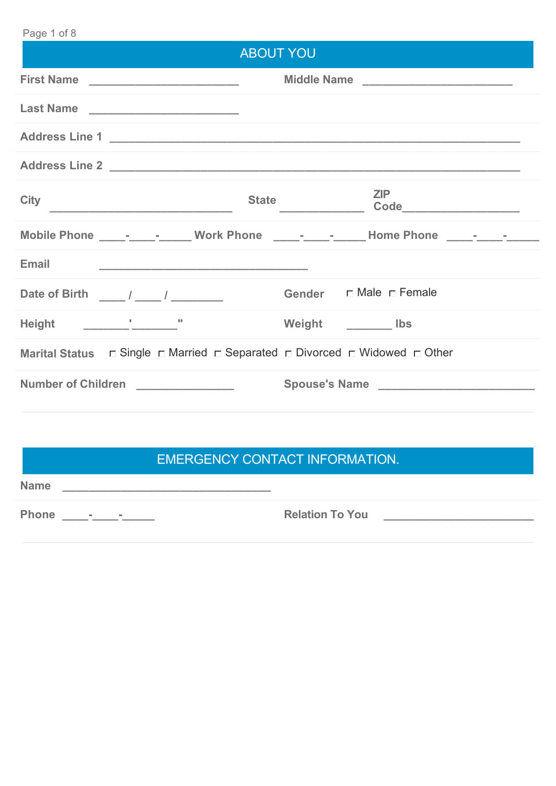#### Page 1 of 8

| ∣ay∈ ⊥∪∟∪<br><b>ABOUT YOU</b>                                                                            |                                                                                   |
|----------------------------------------------------------------------------------------------------------|-----------------------------------------------------------------------------------|
|                                                                                                          | Middle Name _____________________________                                         |
|                                                                                                          |                                                                                   |
|                                                                                                          |                                                                                   |
|                                                                                                          |                                                                                   |
| <b>City</b><br><b>State</b>                                                                              | ZIP                                                                               |
|                                                                                                          | Mobile Phone ________________ Work Phone _________________ Home Phone ___________ |
| Email                                                                                                    |                                                                                   |
| Date of Birth ____/ ____/ __________                                                                     |                                                                                   |
|                                                                                                          | Weight Ibs                                                                        |
| Marital Status $\Box$ Single $\Box$ Married $\Box$ Separated $\Box$ Divorced $\Box$ Widowed $\Box$ Other |                                                                                   |
| Number of Children ______________                                                                        |                                                                                   |
|                                                                                                          |                                                                                   |

## EMERGENCY CONTACT INFORMATION.

**Name \_\_\_\_\_\_\_\_\_\_\_\_\_\_\_\_\_\_\_\_\_\_\_\_\_\_\_\_\_\_\_\_**

**Phone \_\_\_\_-\_\_\_\_-\_\_\_\_\_ Relation To You \_\_\_\_\_\_\_\_\_\_\_\_\_\_\_\_\_\_\_\_\_\_\_**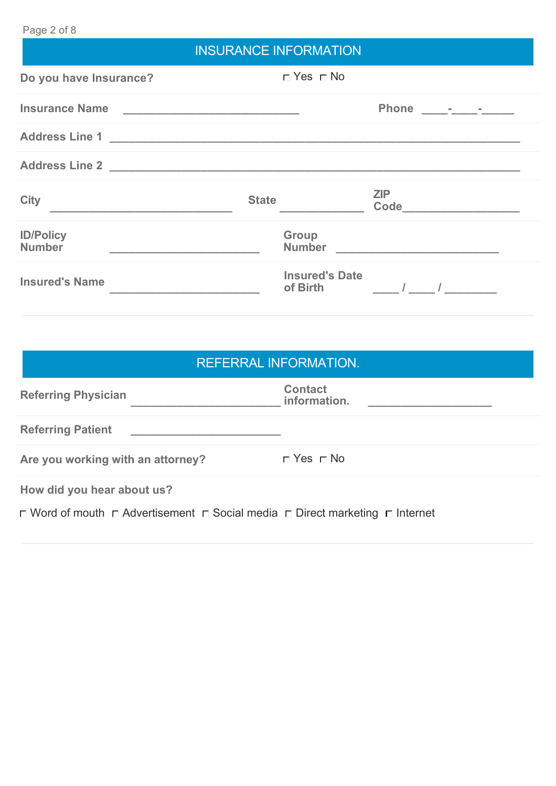### Page 2 of 8

# INSURANCE INFORMATION

| Do you have Insurance?            | $\Box$ Yes $\Box$ No              |                             |
|-----------------------------------|-----------------------------------|-----------------------------|
|                                   |                                   |                             |
| Insurance Name                    |                                   |                             |
|                                   |                                   |                             |
|                                   |                                   |                             |
| <b>City</b>                       | <b>State</b>                      | ZIP<br>Code _______________ |
| <b>ID/Policy</b><br><b>Number</b> | Group                             |                             |
| <b>Insured's Name</b>             | <b>Insured's Date</b><br>of Birth |                             |

| <b>REFERRAL INFORMATION.</b>                                                                          |                                |  |
|-------------------------------------------------------------------------------------------------------|--------------------------------|--|
| <b>Referring Physician</b>                                                                            | <b>Contact</b><br>information. |  |
| <b>Referring Patient</b>                                                                              |                                |  |
| Are you working with an attorney?                                                                     | $\Box$ Yes $\Box$ No           |  |
| How did you hear about us?                                                                            |                                |  |
| $\Box$ Word of mouth $\Box$ Advertisement $\Box$ Social media $\Box$ Direct marketing $\Box$ Internet |                                |  |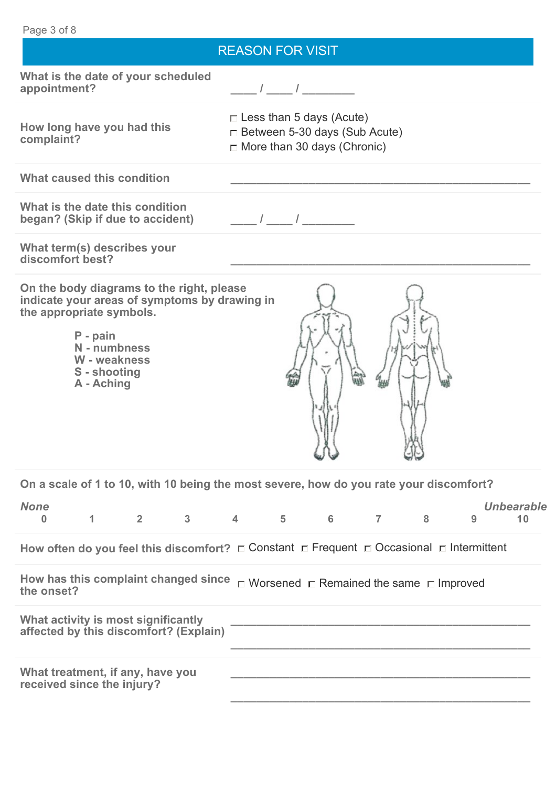| Page 3 of 8                                                                                                                                                                                      |                                                                                                               |
|--------------------------------------------------------------------------------------------------------------------------------------------------------------------------------------------------|---------------------------------------------------------------------------------------------------------------|
|                                                                                                                                                                                                  | <b>REASON FOR VISIT</b>                                                                                       |
| What is the date of your scheduled<br>appointment?                                                                                                                                               |                                                                                                               |
| How long have you had this<br>complaint?                                                                                                                                                         | $\Box$ Less than 5 days (Acute)<br>$\Box$ Between 5-30 days (Sub Acute)<br>$\Box$ More than 30 days (Chronic) |
| What caused this condition                                                                                                                                                                       |                                                                                                               |
| What is the date this condition<br>began? (Skip if due to accident)                                                                                                                              | $\frac{1}{2}$ $\frac{1}{2}$                                                                                   |
| What term(s) describes your<br>discomfort best?                                                                                                                                                  |                                                                                                               |
| On the body diagrams to the right, please<br>indicate your areas of symptoms by drawing in<br>the appropriate symbols.<br>P - pain<br>N - numbness<br>W - weakness<br>S - shooting<br>A - Aching |                                                                                                               |
|                                                                                                                                                                                                  | On a scale of 1 to 10, with 10 being the most severe, how do you rate your discomfort?                        |
| <b>None</b><br>$3 \quad \text{or} \quad$<br>$2^{\sim}$<br>$\mathbf{1}$<br>$\Omega$                                                                                                               | <b>Unbearable</b><br>4 5 6<br>7<br>8<br>9<br>10                                                               |
|                                                                                                                                                                                                  | How often do you feel this discomfort? $\Box$ Constant $\Box$ Frequent $\Box$ Occasional $\Box$ Intermittent  |
| How has this complaint changed since<br>the onset?                                                                                                                                               | $\Box$ Worsened $\Box$ Remained the same $\Box$ Improved                                                      |
| What activity is most significantly<br>affected by this discomfort? (Explain)                                                                                                                    |                                                                                                               |
| What treatment, if any, have you<br>received since the injury?                                                                                                                                   |                                                                                                               |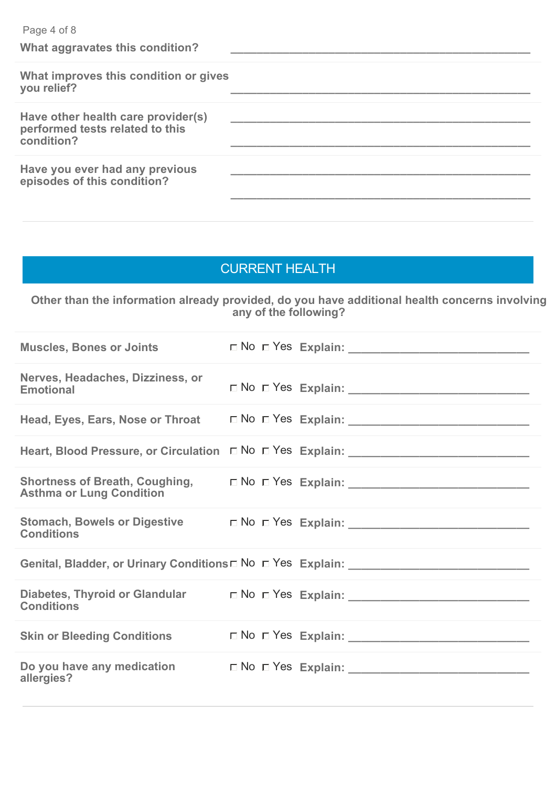| Page 4 of 8<br>What aggravates this condition?                                      |  |
|-------------------------------------------------------------------------------------|--|
| What improves this condition or gives<br>you relief?                                |  |
| Have other health care provider(s)<br>performed tests related to this<br>condition? |  |
| Have you ever had any previous<br>episodes of this condition?                       |  |

### CURRENT HEALTH

**Other than the information already provided, do you have additional health concerns involving any of the following?**

| <b>Muscles, Bones or Joints</b>                      |  |                                                                                       |
|------------------------------------------------------|--|---------------------------------------------------------------------------------------|
| Nerves, Headaches, Dizziness, or<br><b>Emotional</b> |  |                                                                                       |
| Head, Eyes, Ears, Nose or Throat                     |  |                                                                                       |
|                                                      |  |                                                                                       |
| <b>Asthma or Lung Condition</b>                      |  |                                                                                       |
| <b>Conditions</b>                                    |  |                                                                                       |
|                                                      |  | Genital, Bladder, or Urinary Conditions D No D Yes Explain: _____________________     |
| <b>Conditions</b>                                    |  | Diabetes, Thyroid or Glandular $\Box$ No $\Box$ Yes Explain: ________________________ |
| <b>Skin or Bleeding Conditions</b>                   |  |                                                                                       |
| allergies?                                           |  |                                                                                       |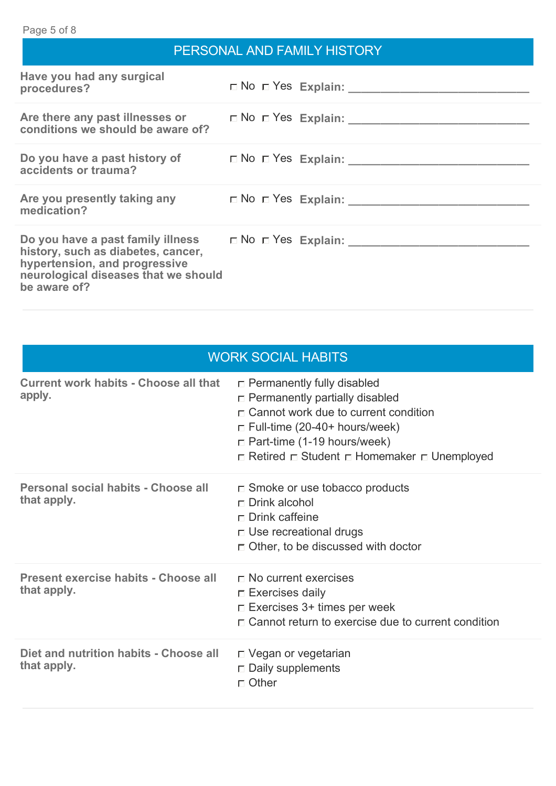| PERSONAL AND FAMILY HISTORY                                                                                                 |  |                                                                                       |
|-----------------------------------------------------------------------------------------------------------------------------|--|---------------------------------------------------------------------------------------|
| Have you had any surgical<br>procedures?                                                                                    |  |                                                                                       |
| conditions we should be aware of?                                                                                           |  |                                                                                       |
| accidents or trauma?                                                                                                        |  | Do you have a past history of $\Box$ No $\Box$ Yes Explain: _________________________ |
| medication?                                                                                                                 |  |                                                                                       |
| history, such as diabetes, cancer,<br>hypertension, and progressive<br>neurological diseases that we should<br>be aware of? |  |                                                                                       |

| <b>WORK SOCIAL HABITS</b>                              |                                                                                                                                                                                                                                                         |  |
|--------------------------------------------------------|---------------------------------------------------------------------------------------------------------------------------------------------------------------------------------------------------------------------------------------------------------|--|
| <b>Current work habits - Choose all that</b><br>apply. | $\Box$ Permanently fully disabled<br>$\Box$ Permanently partially disabled<br>$\Box$ Cannot work due to current condition<br>$\Box$ Full-time (20-40+ hours/week)<br>$\Box$ Part-time (1-19 hours/week)<br>□ Retired □ Student □ Homemaker □ Unemployed |  |
| Personal social habits - Choose all<br>that apply.     | $\square$ Smoke or use tobacco products<br>$\Box$ Drink alcohol<br>$\Box$ Drink caffeine<br>$\Box$ Use recreational drugs<br>$\Box$ Other, to be discussed with doctor                                                                                  |  |
| Present exercise habits - Choose all<br>that apply.    | $\Box$ No current exercises<br>$\Box$ Exercises daily<br>$\Box$ Exercises 3+ times per week<br>$\Gamma$ Cannot return to exercise due to current condition                                                                                              |  |
| Diet and nutrition habits - Choose all<br>that apply.  | □ Vegan or vegetarian<br>$\Box$ Daily supplements<br>$\sqcap$ Other                                                                                                                                                                                     |  |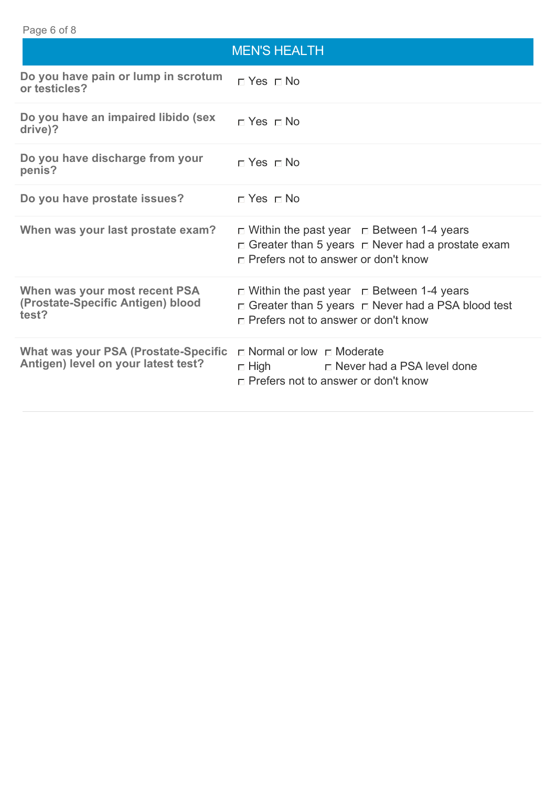# MEN'S HEALTH **Do you have pain or lump in scrotum**  $\Box$  **Yes**  $\Box$  **No**<br>or testicles? **Do you have an impaired libido (sex <sub>□</sub> Yes □ No**<br>drive)? **Do you have discharge from your <sub>匚</sub> Yes <sub>匚</sub> No Do you have prostate issues?**  $\Box$  Yes  $\Box$  No **When was your last prostate exam?**  $\Box$  Within the past year  $\Box$  Between 1-4 years  $\Box$  Greater than 5 years  $\Box$  Never had a prostate exam □ Prefers not to answer or don't know **When was your most recent PSA (Prostate-Specific Antigen) blood test?**  $\Box$  Within the past year  $\Box$  Between 1-4 years  $\Box$  Greater than 5 years  $\Box$  Never had a PSA blood test Prefers not to answer or don't know **What was your PSA (Prostate-Specific Antigen) level on your latest test?**  $\sqcap$  Normal or low  $\sqcap$  Moderate  $\Box$  High  $\Box$  Never had a PSA level done □ Prefers not to answer or don't know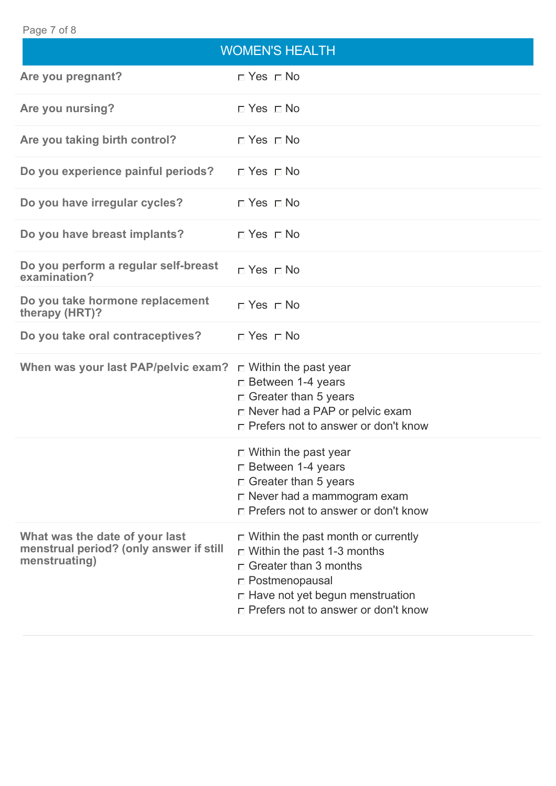#### Page 7 of 8

|                                                                                            | <b>WOMEN'S HEALTH</b>                                                                                                                                                                                                      |
|--------------------------------------------------------------------------------------------|----------------------------------------------------------------------------------------------------------------------------------------------------------------------------------------------------------------------------|
| Are you pregnant?                                                                          | $\Box$ Yes $\Box$ No                                                                                                                                                                                                       |
| Are you nursing?                                                                           | $\Box$ Yes $\Box$ No                                                                                                                                                                                                       |
| Are you taking birth control?                                                              | $\Box$ Yes $\Box$ No                                                                                                                                                                                                       |
| Do you experience painful periods?                                                         | $\sqcap$ Yes $\sqcap$ No                                                                                                                                                                                                   |
| Do you have irregular cycles?                                                              | $\Box$ Yes $\Box$ No                                                                                                                                                                                                       |
| Do you have breast implants?                                                               | $\sqcap$ Yes $\sqcap$ No                                                                                                                                                                                                   |
| Do you perform a regular self-breast<br>examination?                                       | $\sqcap$ Yes $\sqcap$ No                                                                                                                                                                                                   |
| Do you take hormone replacement<br>therapy (HRT)?                                          | $\Box$ Yes $\Box$ No                                                                                                                                                                                                       |
| Do you take oral contraceptives?                                                           | $\Box$ Yes $\Box$ No                                                                                                                                                                                                       |
| When was your last PAP/pelvic exam? $\Box$ Within the past year                            | □ Between 1-4 years<br>$\Box$ Greater than 5 years<br>□ Never had a PAP or pelvic exam<br>$\Box$ Prefers not to answer or don't know                                                                                       |
|                                                                                            | $\Box$ Within the past year<br>$\Box$ Between 1-4 years<br>$\Box$ Greater than 5 years<br>□ Never had a mammogram exam<br>□ Prefers not to answer or don't know                                                            |
| What was the date of your last<br>menstrual period? (only answer if still<br>menstruating) | $\Box$ Within the past month or currently<br>$\Box$ Within the past 1-3 months<br>$\Box$ Greater than 3 months<br>$\Box$ Postmenopausal<br>$\Box$ Have not yet begun menstruation<br>□ Prefers not to answer or don't know |